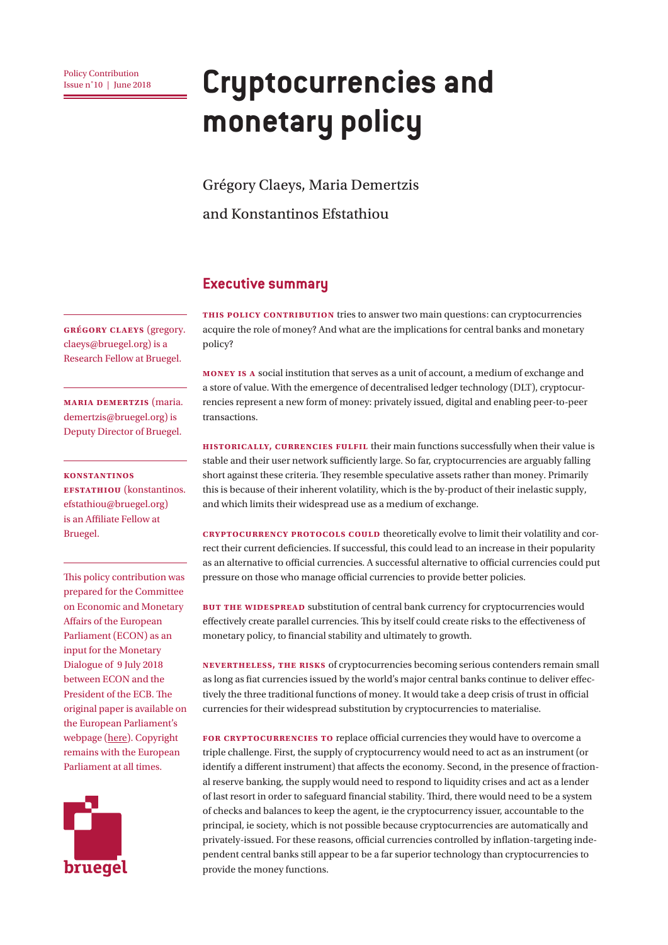# **Example 2018 Cryptocurrencies and monetary policy**

Grégory Claeys, Maria Demertzis

and Konstantinos Efstathiou

#### **Executive summary**

**Grégory claeys** (gregory. claeys@bruegel.org) is a Research Fellow at Bruegel.

**Maria Demertzis** (maria. demertzis@bruegel.org) is Deputy Director of Bruegel.

**Konstantinos Efstathiou** (konstantinos. efstathiou@bruegel.org) is an Affiliate Fellow at Bruegel.

This policy contribution was prepared for the Committee on Economic and Monetary Affairs of the European Parliament (ECON) as an input for the Monetary Dialogue of 9 July 2018 between ECON and the President of the ECB. The original paper is available on the European Parliament's webpage [\(here\).](http://www.europarl.europa.eu/cmsdata/150000/BRUEGEL_FINAL%20publication.pdf) Copyright remains with the European Parliament at all times.



**This Policy Contribution** tries to answer two main questions: can cryptocurrencies acquire the role of money? And what are the implications for central banks and monetary policy?

**Money is a** social institution that serves as a unit of account, a medium of exchange and a store of value. With the emergence of decentralised ledger technology (DLT), cryptocurrencies represent a new form of money: privately issued, digital and enabling peer-to-peer transactions.

**Historically, currencies fulfil** their main functions successfully when their value is stable and their user network sufficiently large. So far, cryptocurrencies are arguably falling short against these criteria. They resemble speculative assets rather than money. Primarily this is because of their inherent volatility, which is the by-product of their inelastic supply, and which limits their widespread use as a medium of exchange.

**Cryptocurrency protocols could** theoretically evolve to limit their volatility and correct their current deficiencies. If successful, this could lead to an increase in their popularity as an alternative to official currencies. A successful alternative to official currencies could put pressure on those who manage official currencies to provide better policies.

**BUT THE WIDESPREAD** substitution of central bank currency for cryptocurrencies would effectively create parallel currencies. This by itself could create risks to the effectiveness of monetary policy, to financial stability and ultimately to growth.

**Nevertheless, the risks** of cryptocurrencies becoming serious contenders remain small as long as fiat currencies issued by the world's major central banks continue to deliver effectively the three traditional functions of money. It would take a deep crisis of trust in official currencies for their widespread substitution by cryptocurrencies to materialise.

FOR CRYPTOCURRENCIES TO replace official currencies they would have to overcome a triple challenge. First, the supply of cryptocurrency would need to act as an instrument (or identify a different instrument) that affects the economy. Second, in the presence of fractional reserve banking, the supply would need to respond to liquidity crises and act as a lender of last resort in order to safeguard financial stability. Third, there would need to be a system of checks and balances to keep the agent, ie the cryptocurrency issuer, accountable to the principal, ie society, which is not possible because cryptocurrencies are automatically and privately-issued. For these reasons, official currencies controlled by inflation-targeting independent central banks still appear to be a far superior technology than cryptocurrencies to provide the money functions.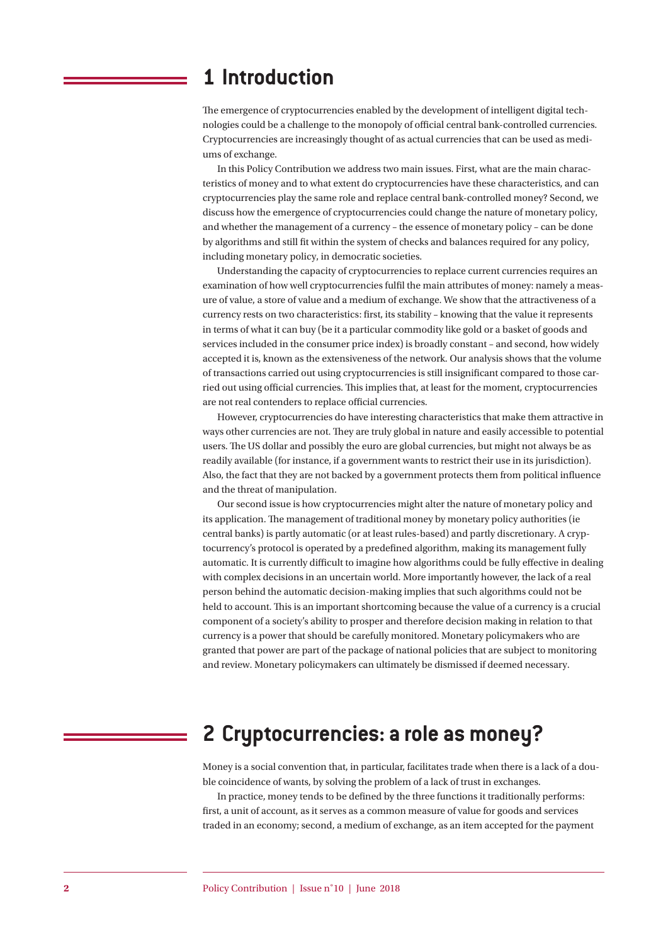### **1 Introduction**

The emergence of cryptocurrencies enabled by the development of intelligent digital technologies could be a challenge to the monopoly of official central bank-controlled currencies. Cryptocurrencies are increasingly thought of as actual currencies that can be used as mediums of exchange.

In this Policy Contribution we address two main issues. First, what are the main characteristics of money and to what extent do cryptocurrencies have these characteristics, and can cryptocurrencies play the same role and replace central bank-controlled money? Second, we discuss how the emergence of cryptocurrencies could change the nature of monetary policy, and whether the management of a currency – the essence of monetary policy – can be done by algorithms and still fit within the system of checks and balances required for any policy, including monetary policy, in democratic societies.

Understanding the capacity of cryptocurrencies to replace current currencies requires an examination of how well cryptocurrencies fulfil the main attributes of money: namely a measure of value, a store of value and a medium of exchange. We show that the attractiveness of a currency rests on two characteristics: first, its stability – knowing that the value it represents in terms of what it can buy (be it a particular commodity like gold or a basket of goods and services included in the consumer price index) is broadly constant – and second, how widely accepted it is, known as the extensiveness of the network. Our analysis shows that the volume of transactions carried out using cryptocurrencies is still insignificant compared to those carried out using official currencies. This implies that, at least for the moment, cryptocurrencies are not real contenders to replace official currencies.

However, cryptocurrencies do have interesting characteristics that make them attractive in ways other currencies are not. They are truly global in nature and easily accessible to potential users. The US dollar and possibly the euro are global currencies, but might not always be as readily available (for instance, if a government wants to restrict their use in its jurisdiction). Also, the fact that they are not backed by a government protects them from political influence and the threat of manipulation.

Our second issue is how cryptocurrencies might alter the nature of monetary policy and its application. The management of traditional money by monetary policy authorities (ie central banks) is partly automatic (or at least rules-based) and partly discretionary. A cryptocurrency's protocol is operated by a predefined algorithm, making its management fully automatic. It is currently difficult to imagine how algorithms could be fully effective in dealing with complex decisions in an uncertain world. More importantly however, the lack of a real person behind the automatic decision-making implies that such algorithms could not be held to account. This is an important shortcoming because the value of a currency is a crucial component of a society's ability to prosper and therefore decision making in relation to that currency is a power that should be carefully monitored. Monetary policymakers who are granted that power are part of the package of national policies that are subject to monitoring and review. Monetary policymakers can ultimately be dismissed if deemed necessary.

# **2 Cryptocurrencies: a role as money?**

Money is a social convention that, in particular, facilitates trade when there is a lack of a double coincidence of wants, by solving the problem of a lack of trust in exchanges.

In practice, money tends to be defined by the three functions it traditionally performs: first, a unit of account, as it serves as a common measure of value for goods and services traded in an economy; second, a medium of exchange, as an item accepted for the payment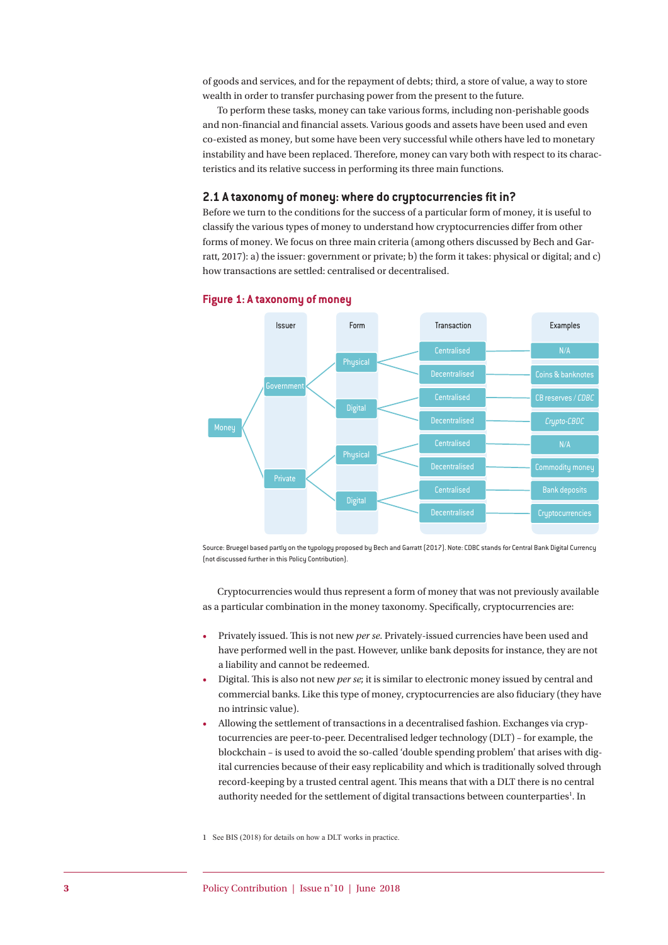of goods and services, and for the repayment of debts; third, a store of value, a way to store wealth in order to transfer purchasing power from the present to the future.

To perform these tasks, money can take various forms, including non-perishable goods and non-financial and financial assets. Various goods and assets have been used and even co-existed as money, but some have been very successful while others have led to monetary instability and have been replaced. Therefore, money can vary both with respect to its characteristics and its relative success in performing its three main functions.

#### **2.1 A taxonomy of money: where do cryptocurrencies fit in?**

Before we turn to the conditions for the success of a particular form of money, it is useful to classify the various types of money to understand how cryptocurrencies differ from other forms of money. We focus on three main criteria (among others discussed by Bech and Garratt, 2017): a) the issuer: government or private; b) the form it takes: physical or digital; and c) how transactions are settled: centralised or decentralised.



#### **Figure 1: A taxonomy of money**

Source: Bruegel based partly on the typology proposed by Bech and Garratt (2017). Note: CDBC stands for Central Bank Digital Currency (not discussed further in this Policy Contribution).

Cryptocurrencies would thus represent a form of money that was not previously available as a particular combination in the money taxonomy. Specifically, cryptocurrencies are:

- Privately issued. This is not new *per se*. Privately-issued currencies have been used and have performed well in the past. However, unlike bank deposits for instance, they are not a liability and cannot be redeemed.
- Digital. This is also not new *per se*; it is similar to electronic money issued by central and commercial banks. Like this type of money, cryptocurrencies are also fiduciary (they have no intrinsic value).
- Allowing the settlement of transactions in a decentralised fashion. Exchanges via cryptocurrencies are peer-to-peer. Decentralised ledger technology (DLT) – for example, the blockchain – is used to avoid the so-called 'double spending problem' that arises with digital currencies because of their easy replicability and which is traditionally solved through record-keeping by a trusted central agent. This means that with a DLT there is no central authority needed for the settlement of digital transactions between counterparties<sup>1</sup>. In

1 See BIS (2018) for details on how a DLT works in practice.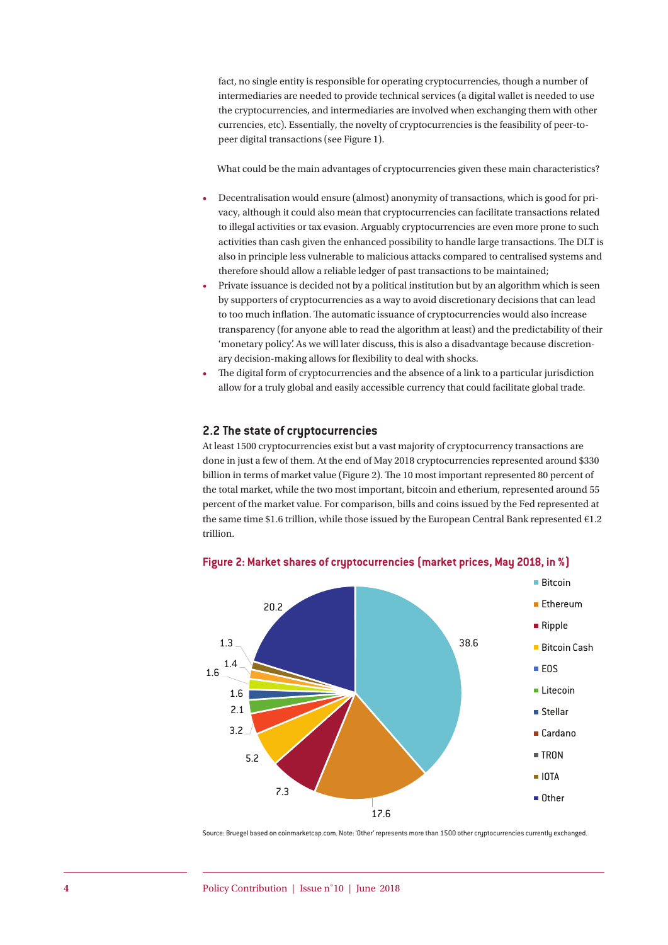fact, no single entity is responsible for operating cryptocurrencies, though a number of intermediaries are needed to provide technical services (a digital wallet is needed to use the cryptocurrencies, and intermediaries are involved when exchanging them with other currencies, etc). Essentially, the novelty of cryptocurrencies is the feasibility of peer-topeer digital transactions (see Figure 1).

What could be the main advantages of cryptocurrencies given these main characteristics?

- Decentralisation would ensure (almost) anonymity of transactions, which is good for privacy, although it could also mean that cryptocurrencies can facilitate transactions related to illegal activities or tax evasion. Arguably cryptocurrencies are even more prone to such activities than cash given the enhanced possibility to handle large transactions. The DLT is also in principle less vulnerable to malicious attacks compared to centralised systems and therefore should allow a reliable ledger of past transactions to be maintained;
- Private issuance is decided not by a political institution but by an algorithm which is seen by supporters of cryptocurrencies as a way to avoid discretionary decisions that can lead to too much inflation. The automatic issuance of cryptocurrencies would also increase transparency (for anyone able to read the algorithm at least) and the predictability of their 'monetary policy'. As we will later discuss, this is also a disadvantage because discretionary decision-making allows for flexibility to deal with shocks.
- The digital form of cryptocurrencies and the absence of a link to a particular jurisdiction allow for a truly global and easily accessible currency that could facilitate global trade.

#### **2.2 The state of cryptocurrencies**

At least 1500 cryptocurrencies exist but a vast majority of cryptocurrency transactions are done in just a few of them. At the end of May 2018 cryptocurrencies represented around \$330 billion in terms of market value (Figure 2). The 10 most important represented 80 percent of the total market, while the two most important, bitcoin and etherium, represented around 55 percent of the market value. For comparison, bills and coins issued by the Fed represented at the same time \$1.6 trillion, while those issued by the European Central Bank represented €1.2 trillion.



**Figure 2: Market shares of cryptocurrencies (market prices, May 2018, in %)**

Source: Bruegel based on coinmarketcap.com. Note: 'Other' represents more than 1500 other cryptocurrencies currently exchanged.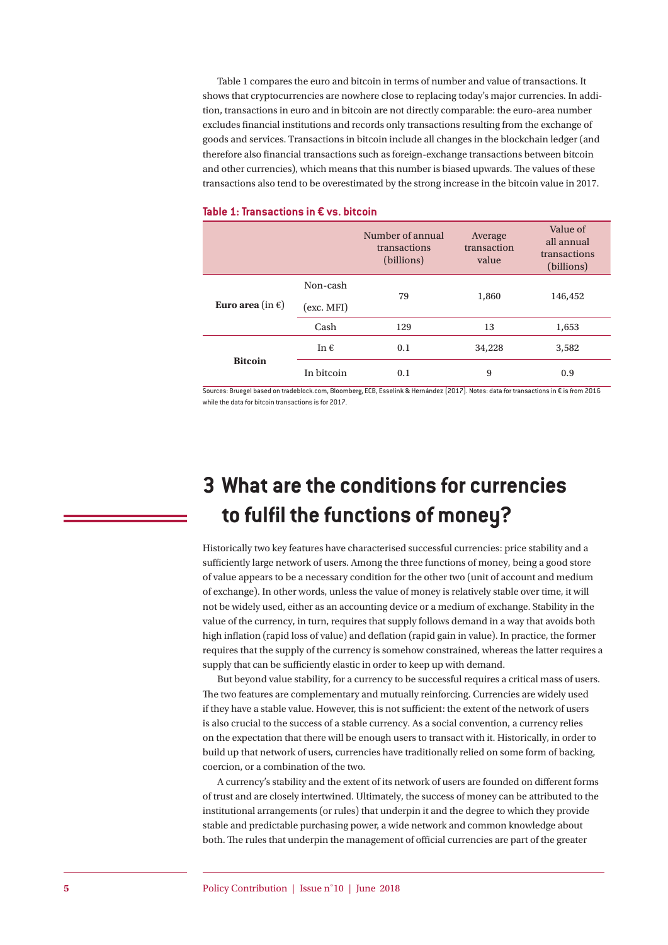Table 1 compares the euro and bitcoin in terms of number and value of transactions. It shows that cryptocurrencies are nowhere close to replacing today's major currencies. In addition, transactions in euro and in bitcoin are not directly comparable: the euro-area number excludes financial institutions and records only transactions resulting from the exchange of goods and services. Transactions in bitcoin include all changes in the blockchain ledger (and therefore also financial transactions such as foreign-exchange transactions between bitcoin and other currencies), which means that this number is biased upwards. The values of these transactions also tend to be overestimated by the strong increase in the bitcoin value in 2017.

|                            |               | Number of annual<br>transactions<br>(billions) | Average<br>transaction<br>value | Value of<br>all annual<br>transactions<br>(billions) |
|----------------------------|---------------|------------------------------------------------|---------------------------------|------------------------------------------------------|
| Euro area (in $\epsilon$ ) | Non-cash      | 79                                             | 1,860                           | 146,452                                              |
|                            | (exc. MFI)    |                                                |                                 |                                                      |
|                            | Cash          | 129                                            | 13                              | 1,653                                                |
| <b>Bitcoin</b>             | In $\epsilon$ | 0.1                                            | 34,228                          | 3,582                                                |
|                            | In bitcoin    | 0.1                                            | 9                               | 0.9                                                  |

#### **Table 1: Transactions in € vs. bitcoin**

Sources: Bruegel based on tradeblock.com, Bloomberg, ECB, Esselink & Hernández (2017). Notes: data for transactions in € is from 2016 while the data for bitcoin transactions is for 2017.

# **3 What are the conditions for currencies to fulfil the functions of money?**

Historically two key features have characterised successful currencies: price stability and a sufficiently large network of users. Among the three functions of money, being a good store of value appears to be a necessary condition for the other two (unit of account and medium of exchange). In other words, unless the value of money is relatively stable over time, it will not be widely used, either as an accounting device or a medium of exchange. Stability in the value of the currency, in turn, requires that supply follows demand in a way that avoids both high inflation (rapid loss of value) and deflation (rapid gain in value). In practice, the former requires that the supply of the currency is somehow constrained, whereas the latter requires a supply that can be sufficiently elastic in order to keep up with demand.

But beyond value stability, for a currency to be successful requires a critical mass of users. The two features are complementary and mutually reinforcing. Currencies are widely used if they have a stable value. However, this is not sufficient: the extent of the network of users is also crucial to the success of a stable currency. As a social convention, a currency relies on the expectation that there will be enough users to transact with it. Historically, in order to build up that network of users, currencies have traditionally relied on some form of backing, coercion, or a combination of the two.

A currency's stability and the extent of its network of users are founded on different forms of trust and are closely intertwined. Ultimately, the success of money can be attributed to the institutional arrangements (or rules) that underpin it and the degree to which they provide stable and predictable purchasing power, a wide network and common knowledge about both. The rules that underpin the management of official currencies are part of the greater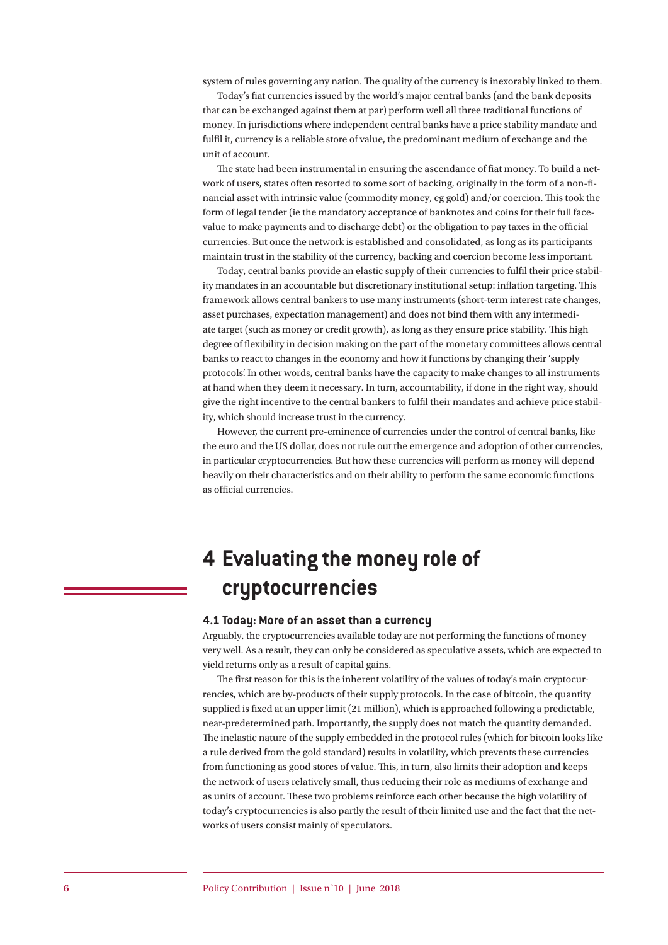system of rules governing any nation. The quality of the currency is inexorably linked to them.

Today's fiat currencies issued by the world's major central banks (and the bank deposits that can be exchanged against them at par) perform well all three traditional functions of money. In jurisdictions where independent central banks have a price stability mandate and fulfil it, currency is a reliable store of value, the predominant medium of exchange and the unit of account.

The state had been instrumental in ensuring the ascendance of fiat money. To build a network of users, states often resorted to some sort of backing, originally in the form of a non-financial asset with intrinsic value (commodity money, eg gold) and/or coercion. This took the form of legal tender (ie the mandatory acceptance of banknotes and coins for their full facevalue to make payments and to discharge debt) or the obligation to pay taxes in the official currencies. But once the network is established and consolidated, as long as its participants maintain trust in the stability of the currency, backing and coercion become less important.

Today, central banks provide an elastic supply of their currencies to fulfil their price stability mandates in an accountable but discretionary institutional setup: inflation targeting. This framework allows central bankers to use many instruments (short-term interest rate changes, asset purchases, expectation management) and does not bind them with any intermediate target (such as money or credit growth), as long as they ensure price stability. This high degree of flexibility in decision making on the part of the monetary committees allows central banks to react to changes in the economy and how it functions by changing their 'supply protocols'. In other words, central banks have the capacity to make changes to all instruments at hand when they deem it necessary. In turn, accountability, if done in the right way, should give the right incentive to the central bankers to fulfil their mandates and achieve price stability, which should increase trust in the currency.

However, the current pre-eminence of currencies under the control of central banks, like the euro and the US dollar, does not rule out the emergence and adoption of other currencies, in particular cryptocurrencies. But how these currencies will perform as money will depend heavily on their characteristics and on their ability to perform the same economic functions as official currencies.

# **4 Evaluating the money role of cryptocurrencies**

#### **4.1 Today: More of an asset than a currency**

Arguably, the cryptocurrencies available today are not performing the functions of money very well. As a result, they can only be considered as speculative assets, which are expected to yield returns only as a result of capital gains.

The first reason for this is the inherent volatility of the values of today's main cryptocurrencies, which are by-products of their supply protocols. In the case of bitcoin, the quantity supplied is fixed at an upper limit (21 million), which is approached following a predictable, near-predetermined path. Importantly, the supply does not match the quantity demanded. The inelastic nature of the supply embedded in the protocol rules (which for bitcoin looks like a rule derived from the gold standard) results in volatility, which prevents these currencies from functioning as good stores of value. This, in turn, also limits their adoption and keeps the network of users relatively small, thus reducing their role as mediums of exchange and as units of account. These two problems reinforce each other because the high volatility of today's cryptocurrencies is also partly the result of their limited use and the fact that the networks of users consist mainly of speculators.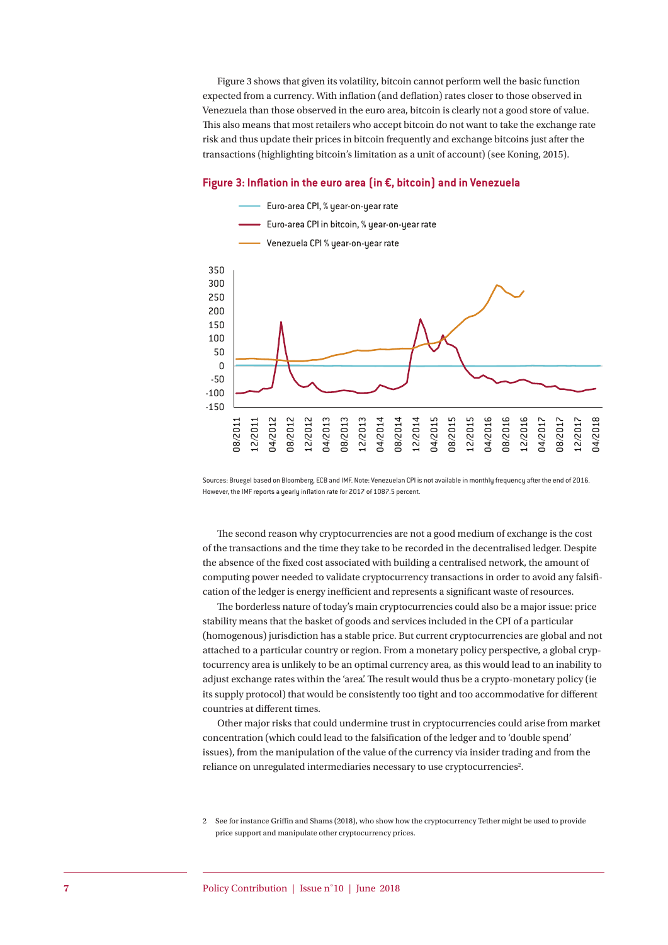Figure 3 shows that given its volatility, bitcoin cannot perform well the basic function expected from a currency. With inflation (and deflation) rates closer to those observed in Venezuela than those observed in the euro area, bitcoin is clearly not a good store of value. This also means that most retailers who accept bitcoin do not want to take the exchange rate risk and thus update their prices in bitcoin frequently and exchange bitcoins just after the transactions (highlighting bitcoin's limitation as a unit of account) (see Koning, 2015).

#### **Figure 3: Inflation in the euro area (in €, bitcoin) and in Venezuela**



Sources: Bruegel based on Bloomberg, ECB and IMF. Note: Venezuelan CPI is not available in monthly frequency after the end of 2016. However, the IMF reports a yearly inflation rate for 2017 of 1087.5 percent.

The second reason why cryptocurrencies are not a good medium of exchange is the cost of the transactions and the time they take to be recorded in the decentralised ledger. Despite the absence of the fixed cost associated with building a centralised network, the amount of computing power needed to validate cryptocurrency transactions in order to avoid any falsification of the ledger is energy inefficient and represents a significant waste of resources.

The borderless nature of today's main cryptocurrencies could also be a major issue: price stability means that the basket of goods and services included in the CPI of a particular (homogenous) jurisdiction has a stable price. But current cryptocurrencies are global and not attached to a particular country or region. From a monetary policy perspective, a global cryptocurrency area is unlikely to be an optimal currency area, as this would lead to an inability to adjust exchange rates within the 'area'. The result would thus be a crypto-monetary policy (ie its supply protocol) that would be consistently too tight and too accommodative for different countries at different times.

Other major risks that could undermine trust in cryptocurrencies could arise from market concentration (which could lead to the falsification of the ledger and to 'double spend' issues), from the manipulation of the value of the currency via insider trading and from the reliance on unregulated intermediaries necessary to use cryptocurrencies<sup>2</sup>.

<sup>2</sup> See for instance Griffin and Shams (2018), who show how the cryptocurrency Tether might be used to provide price support and manipulate other cryptocurrency prices.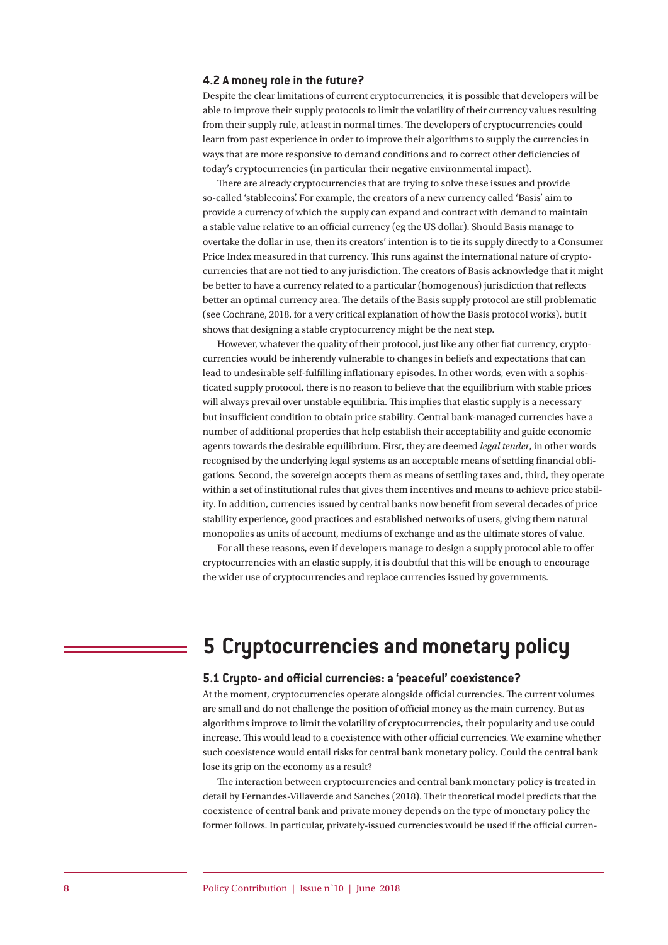#### **4.2 A money role in the future?**

Despite the clear limitations of current cryptocurrencies, it is possible that developers will be able to improve their supply protocols to limit the volatility of their currency values resulting from their supply rule, at least in normal times. The developers of cryptocurrencies could learn from past experience in order to improve their algorithms to supply the currencies in ways that are more responsive to demand conditions and to correct other deficiencies of today's cryptocurrencies (in particular their negative environmental impact).

There are already cryptocurrencies that are trying to solve these issues and provide so-called 'stablecoins'. For example, the creators of a new currency called 'Basis' aim to provide a currency of which the supply can expand and contract with demand to maintain a stable value relative to an official currency (eg the US dollar). Should Basis manage to overtake the dollar in use, then its creators' intention is to tie its supply directly to a Consumer Price Index measured in that currency. This runs against the international nature of cryptocurrencies that are not tied to any jurisdiction. The creators of Basis acknowledge that it might be better to have a currency related to a particular (homogenous) jurisdiction that reflects better an optimal currency area. The details of the Basis supply protocol are still problematic (see Cochrane, 2018, for a very critical explanation of how the Basis protocol works), but it shows that designing a stable cryptocurrency might be the next step.

However, whatever the quality of their protocol, just like any other fiat currency, cryptocurrencies would be inherently vulnerable to changes in beliefs and expectations that can lead to undesirable self-fulfilling inflationary episodes. In other words, even with a sophisticated supply protocol, there is no reason to believe that the equilibrium with stable prices will always prevail over unstable equilibria. This implies that elastic supply is a necessary but insufficient condition to obtain price stability. Central bank-managed currencies have a number of additional properties that help establish their acceptability and guide economic agents towards the desirable equilibrium. First, they are deemed *legal tender*, in other words recognised by the underlying legal systems as an acceptable means of settling financial obligations. Second, the sovereign accepts them as means of settling taxes and, third, they operate within a set of institutional rules that gives them incentives and means to achieve price stability. In addition, currencies issued by central banks now benefit from several decades of price stability experience, good practices and established networks of users, giving them natural monopolies as units of account, mediums of exchange and as the ultimate stores of value.

For all these reasons, even if developers manage to design a supply protocol able to offer cryptocurrencies with an elastic supply, it is doubtful that this will be enough to encourage the wider use of cryptocurrencies and replace currencies issued by governments.

## **5 Cryptocurrencies and monetary policy**

#### **5.1 Crypto- and official currencies: a 'peaceful' coexistence?**

At the moment, cryptocurrencies operate alongside official currencies. The current volumes are small and do not challenge the position of official money as the main currency. But as algorithms improve to limit the volatility of cryptocurrencies, their popularity and use could increase. This would lead to a coexistence with other official currencies. We examine whether such coexistence would entail risks for central bank monetary policy. Could the central bank lose its grip on the economy as a result?

The interaction between cryptocurrencies and central bank monetary policy is treated in detail by Fernandes-Villaverde and Sanches (2018). Their theoretical model predicts that the coexistence of central bank and private money depends on the type of monetary policy the former follows. In particular, privately-issued currencies would be used if the official curren-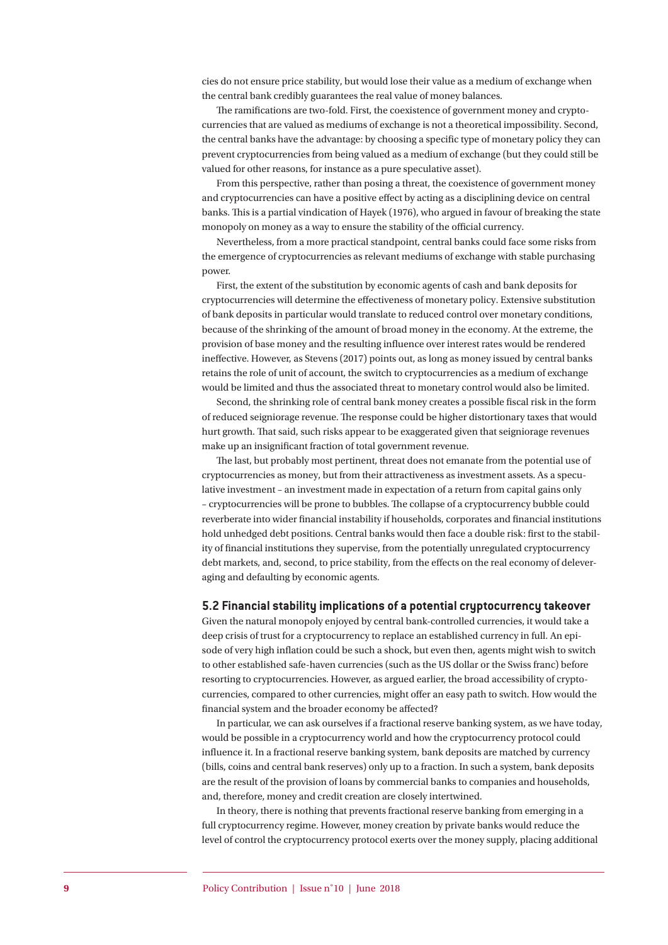cies do not ensure price stability, but would lose their value as a medium of exchange when the central bank credibly guarantees the real value of money balances.

The ramifications are two-fold. First, the coexistence of government money and cryptocurrencies that are valued as mediums of exchange is not a theoretical impossibility. Second, the central banks have the advantage: by choosing a specific type of monetary policy they can prevent cryptocurrencies from being valued as a medium of exchange (but they could still be valued for other reasons, for instance as a pure speculative asset).

From this perspective, rather than posing a threat, the coexistence of government money and cryptocurrencies can have a positive effect by acting as a disciplining device on central banks. This is a partial vindication of Hayek (1976), who argued in favour of breaking the state monopoly on money as a way to ensure the stability of the official currency.

Nevertheless, from a more practical standpoint, central banks could face some risks from the emergence of cryptocurrencies as relevant mediums of exchange with stable purchasing power.

First, the extent of the substitution by economic agents of cash and bank deposits for cryptocurrencies will determine the effectiveness of monetary policy. Extensive substitution of bank deposits in particular would translate to reduced control over monetary conditions, because of the shrinking of the amount of broad money in the economy. At the extreme, the provision of base money and the resulting influence over interest rates would be rendered ineffective. However, as Stevens (2017) points out, as long as money issued by central banks retains the role of unit of account, the switch to cryptocurrencies as a medium of exchange would be limited and thus the associated threat to monetary control would also be limited.

Second, the shrinking role of central bank money creates a possible fiscal risk in the form of reduced seigniorage revenue. The response could be higher distortionary taxes that would hurt growth. That said, such risks appear to be exaggerated given that seigniorage revenues make up an insignificant fraction of total government revenue.

The last, but probably most pertinent, threat does not emanate from the potential use of cryptocurrencies as money, but from their attractiveness as investment assets. As a speculative investment – an investment made in expectation of a return from capital gains only – cryptocurrencies will be prone to bubbles. The collapse of a cryptocurrency bubble could reverberate into wider financial instability if households, corporates and financial institutions hold unhedged debt positions. Central banks would then face a double risk: first to the stability of financial institutions they supervise, from the potentially unregulated cryptocurrency debt markets, and, second, to price stability, from the effects on the real economy of deleveraging and defaulting by economic agents.

#### **5.2 Financial stability implications of a potential cryptocurrency takeover**

Given the natural monopoly enjoyed by central bank-controlled currencies, it would take a deep crisis of trust for a cryptocurrency to replace an established currency in full. An episode of very high inflation could be such a shock, but even then, agents might wish to switch to other established safe-haven currencies (such as the US dollar or the Swiss franc) before resorting to cryptocurrencies. However, as argued earlier, the broad accessibility of cryptocurrencies, compared to other currencies, might offer an easy path to switch. How would the financial system and the broader economy be affected?

In particular, we can ask ourselves if a fractional reserve banking system, as we have today, would be possible in a cryptocurrency world and how the cryptocurrency protocol could influence it. In a fractional reserve banking system, bank deposits are matched by currency (bills, coins and central bank reserves) only up to a fraction. In such a system, bank deposits are the result of the provision of loans by commercial banks to companies and households, and, therefore, money and credit creation are closely intertwined.

In theory, there is nothing that prevents fractional reserve banking from emerging in a full cryptocurrency regime. However, money creation by private banks would reduce the level of control the cryptocurrency protocol exerts over the money supply, placing additional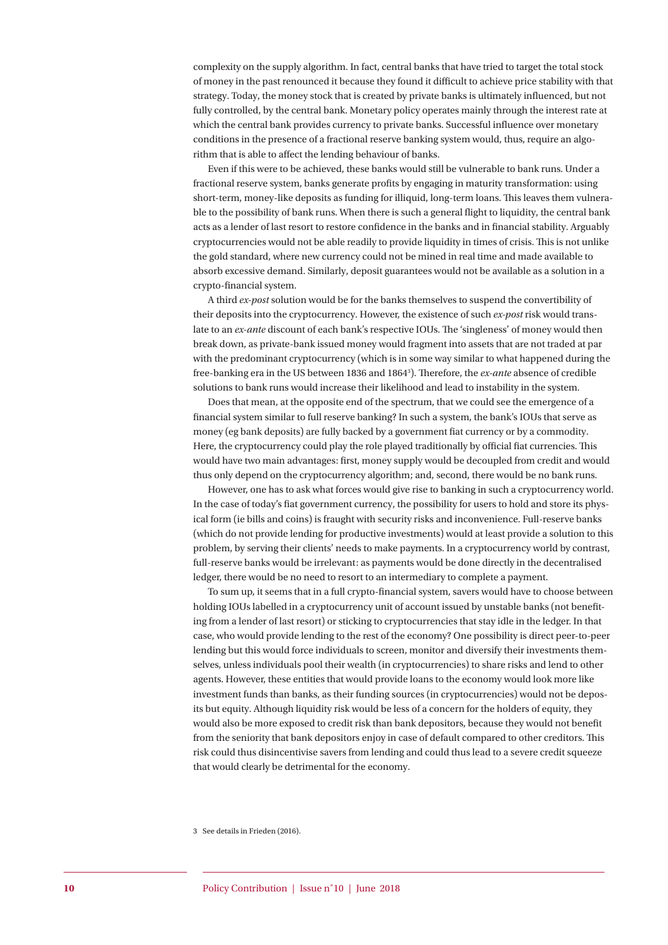complexity on the supply algorithm. In fact, central banks that have tried to target the total stock of money in the past renounced it because they found it difficult to achieve price stability with that strategy. Today, the money stock that is created by private banks is ultimately influenced, but not fully controlled, by the central bank. Monetary policy operates mainly through the interest rate at which the central bank provides currency to private banks. Successful influence over monetary conditions in the presence of a fractional reserve banking system would, thus, require an algorithm that is able to affect the lending behaviour of banks.

Even if this were to be achieved, these banks would still be vulnerable to bank runs. Under a fractional reserve system, banks generate profits by engaging in maturity transformation: using short-term, money-like deposits as funding for illiquid, long-term loans. This leaves them vulnerable to the possibility of bank runs. When there is such a general flight to liquidity, the central bank acts as a lender of last resort to restore confidence in the banks and in financial stability. Arguably cryptocurrencies would not be able readily to provide liquidity in times of crisis. This is not unlike the gold standard, where new currency could not be mined in real time and made available to absorb excessive demand. Similarly, deposit guarantees would not be available as a solution in a crypto-financial system.

A third *ex-post* solution would be for the banks themselves to suspend the convertibility of their deposits into the cryptocurrency. However, the existence of such *ex-post* risk would translate to an *ex-ante* discount of each bank's respective IOUs. The 'singleness' of money would then break down, as private-bank issued money would fragment into assets that are not traded at par with the predominant cryptocurrency (which is in some way similar to what happened during the free-banking era in the US between 1836 and 18643 ). Therefore, the *ex-ante* absence of credible solutions to bank runs would increase their likelihood and lead to instability in the system.

Does that mean, at the opposite end of the spectrum, that we could see the emergence of a financial system similar to full reserve banking? In such a system, the bank's IOUs that serve as money (eg bank deposits) are fully backed by a government fiat currency or by a commodity. Here, the cryptocurrency could play the role played traditionally by official fiat currencies. This would have two main advantages: first, money supply would be decoupled from credit and would thus only depend on the cryptocurrency algorithm; and, second, there would be no bank runs.

However, one has to ask what forces would give rise to banking in such a cryptocurrency world. In the case of today's fiat government currency, the possibility for users to hold and store its physical form (ie bills and coins) is fraught with security risks and inconvenience. Full-reserve banks (which do not provide lending for productive investments) would at least provide a solution to this problem, by serving their clients' needs to make payments. In a cryptocurrency world by contrast, full-reserve banks would be irrelevant: as payments would be done directly in the decentralised ledger, there would be no need to resort to an intermediary to complete a payment.

To sum up, it seems that in a full crypto-financial system, savers would have to choose between holding IOUs labelled in a cryptocurrency unit of account issued by unstable banks (not benefiting from a lender of last resort) or sticking to cryptocurrencies that stay idle in the ledger. In that case, who would provide lending to the rest of the economy? One possibility is direct peer-to-peer lending but this would force individuals to screen, monitor and diversify their investments themselves, unless individuals pool their wealth (in cryptocurrencies) to share risks and lend to other agents. However, these entities that would provide loans to the economy would look more like investment funds than banks, as their funding sources (in cryptocurrencies) would not be deposits but equity. Although liquidity risk would be less of a concern for the holders of equity, they would also be more exposed to credit risk than bank depositors, because they would not benefit from the seniority that bank depositors enjoy in case of default compared to other creditors. This risk could thus disincentivise savers from lending and could thus lead to a severe credit squeeze that would clearly be detrimental for the economy.

<sup>3</sup> See details in Frieden (2016).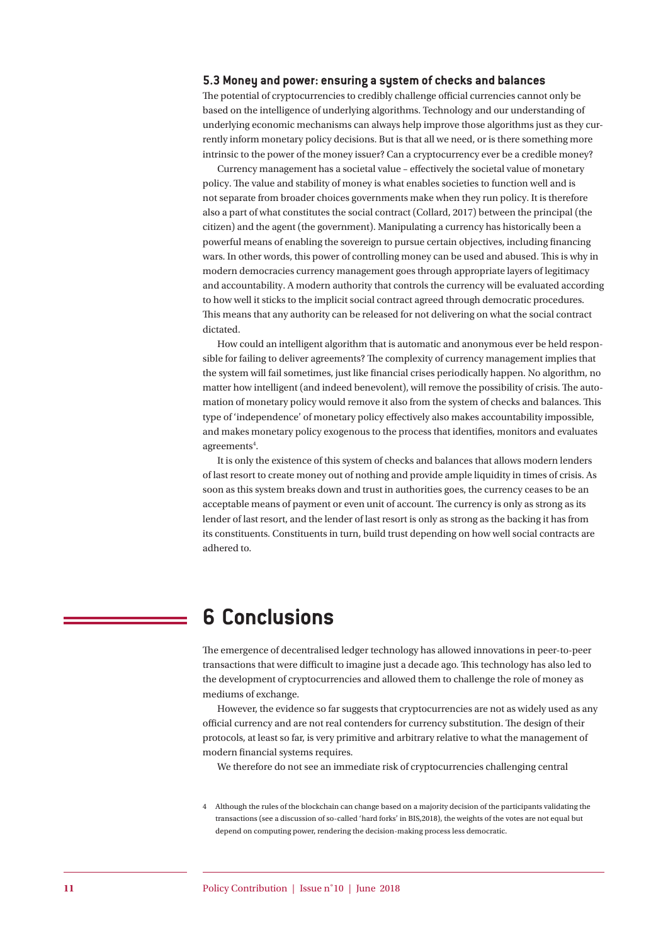#### **5.3 Money and power: ensuring a system of checks and balances**

The potential of cryptocurrencies to credibly challenge official currencies cannot only be based on the intelligence of underlying algorithms. Technology and our understanding of underlying economic mechanisms can always help improve those algorithms just as they currently inform monetary policy decisions. But is that all we need, or is there something more intrinsic to the power of the money issuer? Can a cryptocurrency ever be a credible money?

Currency management has a societal value – effectively the societal value of monetary policy. The value and stability of money is what enables societies to function well and is not separate from broader choices governments make when they run policy. It is therefore also a part of what constitutes the social contract (Collard, 2017) between the principal (the citizen) and the agent (the government). Manipulating a currency has historically been a powerful means of enabling the sovereign to pursue certain objectives, including financing wars. In other words, this power of controlling money can be used and abused. This is why in modern democracies currency management goes through appropriate layers of legitimacy and accountability. A modern authority that controls the currency will be evaluated according to how well it sticks to the implicit social contract agreed through democratic procedures. This means that any authority can be released for not delivering on what the social contract dictated.

How could an intelligent algorithm that is automatic and anonymous ever be held responsible for failing to deliver agreements? The complexity of currency management implies that the system will fail sometimes, just like financial crises periodically happen. No algorithm, no matter how intelligent (and indeed benevolent), will remove the possibility of crisis. The automation of monetary policy would remove it also from the system of checks and balances. This type of 'independence' of monetary policy effectively also makes accountability impossible, and makes monetary policy exogenous to the process that identifies, monitors and evaluates agreements<sup>4</sup>.

It is only the existence of this system of checks and balances that allows modern lenders of last resort to create money out of nothing and provide ample liquidity in times of crisis. As soon as this system breaks down and trust in authorities goes, the currency ceases to be an acceptable means of payment or even unit of account. The currency is only as strong as its lender of last resort, and the lender of last resort is only as strong as the backing it has from its constituents. Constituents in turn, build trust depending on how well social contracts are adhered to.

### **6 Conclusions**

The emergence of decentralised ledger technology has allowed innovations in peer-to-peer transactions that were difficult to imagine just a decade ago. This technology has also led to the development of cryptocurrencies and allowed them to challenge the role of money as mediums of exchange.

However, the evidence so far suggests that cryptocurrencies are not as widely used as any official currency and are not real contenders for currency substitution. The design of their protocols, at least so far, is very primitive and arbitrary relative to what the management of modern financial systems requires.

We therefore do not see an immediate risk of cryptocurrencies challenging central

4 Although the rules of the blockchain can change based on a majority decision of the participants validating the transactions (see a discussion of so-called 'hard forks' in BIS,2018), the weights of the votes are not equal but depend on computing power, rendering the decision-making process less democratic.